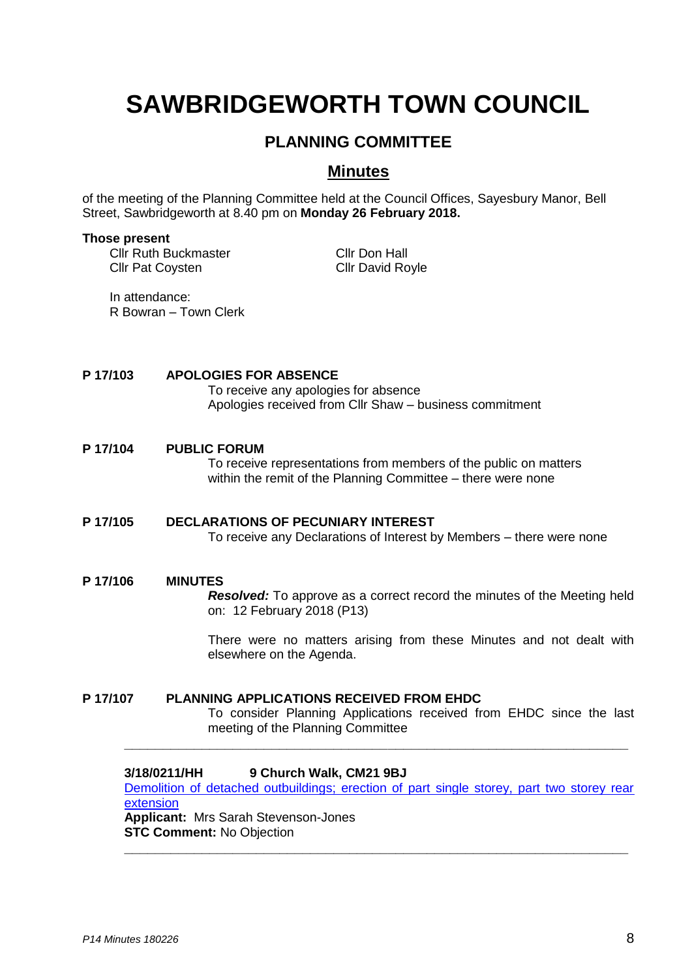# **SAWBRIDGEWORTH TOWN COUNCIL**

# **PLANNING COMMITTEE**

## **Minutes**

of the meeting of the Planning Committee held at the Council Offices, Sayesbury Manor, Bell Street, Sawbridgeworth at 8.40 pm on **Monday 26 February 2018.**

#### **Those present**

Cllr Ruth Buckmaster Cllr Pat Coysten

Cllr Don Hall Cllr David Royle

In attendance: R Bowran – Town Clerk

### **P 17/103 APOLOGIES FOR ABSENCE**

To receive any apologies for absence Apologies received from Cllr Shaw – business commitment

### **P 17/104 PUBLIC FORUM**

To receive representations from members of the public on matters within the remit of the Planning Committee – there were none

### **P 17/105 DECLARATIONS OF PECUNIARY INTEREST** To receive any Declarations of Interest by Members – there were none

#### **P 17/106 MINUTES**

*Resolved:* To approve as a correct record the minutes of the Meeting held on: 12 February 2018 (P13)

There were no matters arising from these Minutes and not dealt with elsewhere on the Agenda.

### **P 17/107 PLANNING APPLICATIONS RECEIVED FROM EHDC**

To consider Planning Applications received from EHDC since the last meeting of the Planning Committee

### **3/18/0211/HH 9 Church Walk, CM21 9BJ**

[Demolition of detached outbuildings; erection of part single storey, part two storey rear](https://publicaccess.eastherts.gov.uk/online-applications/applicationDetails.do?activeTab=documents&keyVal=P3EUAIGLKBI00)  [extension](https://publicaccess.eastherts.gov.uk/online-applications/applicationDetails.do?activeTab=documents&keyVal=P3EUAIGLKBI00)

**\_\_\_\_\_\_\_\_\_\_\_\_\_\_\_\_\_\_\_\_\_\_\_\_\_\_\_\_\_\_\_\_\_\_\_\_\_\_\_\_\_\_\_\_\_\_\_\_\_\_\_\_\_\_\_\_\_\_\_\_\_\_\_\_\_**

**\_\_\_\_\_\_\_\_\_\_\_\_\_\_\_\_\_\_\_\_\_\_\_\_\_\_\_\_\_\_\_\_\_\_\_\_\_\_\_\_\_\_\_\_\_\_\_\_\_\_\_\_\_\_\_\_\_\_\_\_\_\_\_\_\_**

**Applicant:** Mrs Sarah Stevenson-Jones **STC Comment:** No Objection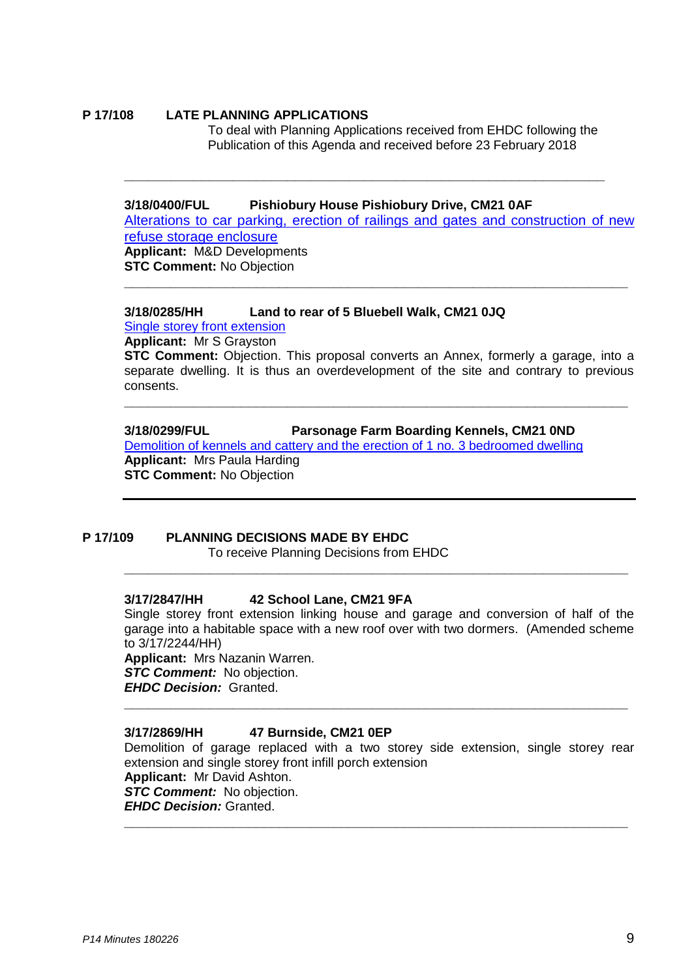#### **P 17/108 LATE PLANNING APPLICATIONS**

To deal with Planning Applications received from EHDC following the Publication of this Agenda and received before 23 February 2018

#### **3/18/0400/FUL Pishiobury House Pishiobury Drive, CM21 0AF**

Alterations to car parking, erection of railings and gates and construction of new refuse storage enclosure **Applicant:** M&D Developments

**\_\_\_\_\_\_\_\_\_\_\_\_\_\_\_\_\_\_\_\_\_\_\_\_\_\_\_\_\_\_\_\_\_\_\_\_\_\_\_\_\_\_\_\_\_\_\_\_\_\_\_\_\_\_\_\_\_\_\_\_\_\_\_\_\_**

**\_\_\_\_\_\_\_\_\_\_\_\_\_\_\_\_\_\_\_\_\_\_\_\_\_\_\_\_\_\_\_\_\_\_\_\_\_\_\_\_\_\_\_\_\_\_\_\_\_\_\_\_\_\_\_\_\_\_\_\_\_\_**

**STC Comment:** No Objection

#### **3/18/0285/HH Land to rear of 5 Bluebell Walk, CM21 0JQ** [Single storey](https://publicaccess.eastherts.gov.uk/online-applications/applicationDetails.do?activeTab=documents&keyVal=P3EUAIGLKBI00) front extension

**Applicant:** Mr S Grayston

**STC Comment:** Objection. This proposal converts an Annex, formerly a garage, into a separate dwelling. It is thus an overdevelopment of the site and contrary to previous consents.

**\_\_\_\_\_\_\_\_\_\_\_\_\_\_\_\_\_\_\_\_\_\_\_\_\_\_\_\_\_\_\_\_\_\_\_\_\_\_\_\_\_\_\_\_\_\_\_\_\_\_\_\_\_\_\_\_\_\_\_\_\_\_\_\_\_**

**3/18/0299/FUL Parsonage Farm Boarding Kennels, CM21 0ND**

[Demolition of kennels and cattery and the erection of 1 no. 3 bedroomed dwelling](https://publicaccess.eastherts.gov.uk/online-applications/applicationDetails.do?activeTab=documents&keyVal=P3EUAIGLKBI00) **Applicant:** Mrs Paula Harding **STC Comment:** No Objection

#### **P 17/109 PLANNING DECISIONS MADE BY EHDC**

To receive Planning Decisions from EHDC

### **3/17/2847/HH 42 School Lane, CM21 9FA**

Single storey front extension linking house and garage and conversion of half of the garage into a habitable space with a new roof over with two dormers. (Amended scheme to 3/17/2244/HH)

**\_\_\_\_\_\_\_\_\_\_\_\_\_\_\_\_\_\_\_\_\_\_\_\_\_\_\_\_\_\_\_\_\_\_\_\_\_\_\_\_\_\_\_\_\_\_\_\_\_\_\_\_\_\_\_\_\_\_\_\_\_\_\_\_\_**

**\_\_\_\_\_\_\_\_\_\_\_\_\_\_\_\_\_\_\_\_\_\_\_\_\_\_\_\_\_\_\_\_\_\_\_\_\_\_\_\_\_\_\_\_\_\_\_\_\_\_\_\_\_\_\_\_\_\_\_\_\_\_\_\_\_**

**Applicant:** Mrs Nazanin Warren. **STC Comment:** No objection. *EHDC Decision:* Granted.

### **3/17/2869/HH 47 Burnside, CM21 0EP**

Demolition of garage replaced with a two storey side extension, single storey rear extension and single storey front infill porch extension **Applicant:** Mr David Ashton. *STC Comment:* No objection. *EHDC Decision:* Granted. **\_\_\_\_\_\_\_\_\_\_\_\_\_\_\_\_\_\_\_\_\_\_\_\_\_\_\_\_\_\_\_\_\_\_\_\_\_\_\_\_\_\_\_\_\_\_\_\_\_\_\_\_\_\_\_\_\_\_\_\_\_\_\_\_\_**